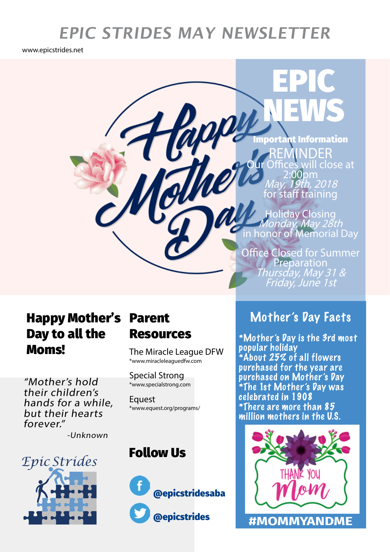## **EPIC STRIDES MAY NEWSLETTER**

 $\boldsymbol{\vartheta}$ 

www.epicstrides.net

**REN**<br>Ur Office ill close at 1av, 19th, 2018 for staff training tant Information

EPIC

**NEWS** 

Holiday Closing *Monday, May 28th*<br>in honor of Memorial Day

Office Closed for Summer Preparation<br>Thursday, May 31 &<br>Friday, June 1st

## Happy Mother's Parent Day to all the **Moms!** The Miracle League DFW

"Mother's hold their children's hands for a while, but their hearts forever."

-Unknown



# Resources

\*www.miracleleaguedfw.com

Special Strong \*www.specialstrong.com

**Equest** \*www.equest.org/programs/

### Follow Us



### Mother's Day Facts

\*Mother's Day is the 3rd most popular holiday \*About 25% of all flowers purchased for the year are purchased on Mother's Day \*The 1st Mother's Day was celebrated in 1908 \*There are more than 85 million mothers in the U.S.